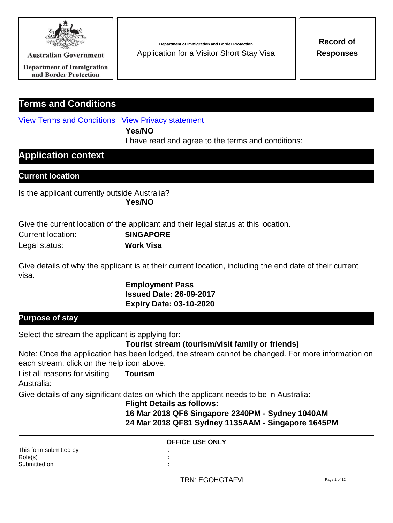

**Australian Government** 

**Department of Immigration** and Border Protection

# **Terms and Conditions**

View Terms and Conditions View Privacy statement

**Yes/NO**

I have read and agree to the terms and conditions:

# **Application context**

## **Current location**

Is the applicant currently outside Australia? **Yes/NO**

Give the current location of the applicant and their legal status at this location.

| Current location: | <b>SINGAPORE</b> |
|-------------------|------------------|
| Legal status:     | <b>Work Visa</b> |

Give details of why the applicant is at their current location, including the end date of their current visa.

> **Employment Pass Issued Date: 26-09-2017 Expiry Date: 03-10-2020**

## **Purpose of stay**

Select the stream the applicant is applying for:

**Tourist stream (tourism/visit family or friends)**

Note: Once the application has been lodged, the stream cannot be changed. For more information on each stream, click on the help icon above.

List all reasons for visiting **Tourism** Australia:

Give details of any significant dates on which the applicant needs to be in Australia:

#### **Flight Details as follows:**

**16 Mar 2018 QF6 Singapore 2340PM - Sydney 1040AM 24 Mar 2018 QF81 Sydney 1135AAM - Singapore 1645PM**

|                                                   | <b>OFFICE USE ONLY</b> |  |
|---------------------------------------------------|------------------------|--|
| This form submitted by<br>Role(s)<br>Submitted on |                        |  |

**Department of Immigration and Border Protection Record of** Application for a Visitor Short Stay Visa **Responses**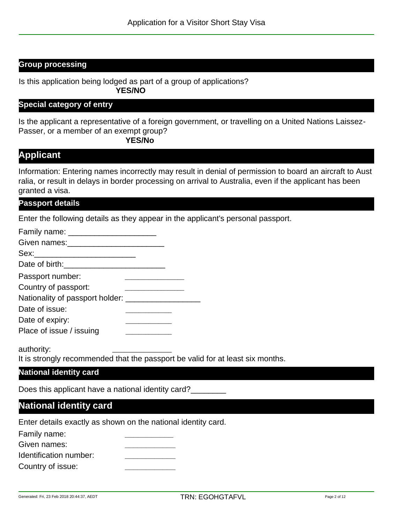## **Group processing**

Is this application being lodged as part of a group of applications? **YES/NO**

#### **Special category of entry**

Is the applicant a representative of a foreign government, or travelling on a United Nations Laissez-Passer, or a member of an exempt group?

**YES/No**

## **Applicant**

Information: Entering names incorrectly may result in denial of permission to board an aircraft to Aust ralia, or result in delays in border processing on arrival to Australia, even if the applicant has been granted a visa.

#### **Passport details**

Enter the following details as they appear in the applicant's personal passport.

| Passport number:                                 |  |  |
|--------------------------------------------------|--|--|
| Country of passport:                             |  |  |
| Nationality of passport holder: ________________ |  |  |
| Date of issue:                                   |  |  |
| Date of expiry:                                  |  |  |
| Place of issue / issuing                         |  |  |

authority:

It is strongly recommended that the passport be valid for at least six months.

\_\_\_\_\_\_\_\_\_\_\_\_\_\_\_

#### **National identity card**

Does this applicant have a national identity card?

## **National identity card**

Enter details exactly as shown on the national identity card.

Family name: **\_\_\_\_\_\_\_\_\_\_\_**

Given names:

| Identification number: |  |
|------------------------|--|
|------------------------|--|

Country of issue: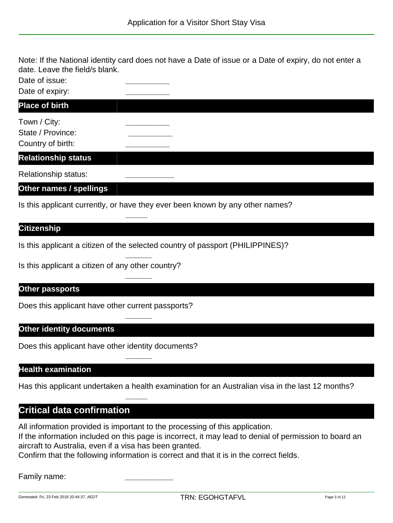Note: If the National identity card does not have a Date of issue or a Date of expiry, do not enter a date. Leave the field/s blank.

Date of issue:

Date of expiry:

### **Place of birth**

| Town / City:      |  |
|-------------------|--|
| State / Province: |  |
| Country of birth: |  |

### **Relationship status**

Relationship status: **\_\_\_\_\_\_\_\_\_\_\_**

### **Other names / spellings**

Is this applicant currently, or have they ever been known by any other names?

**\_\_\_\_\_**

**\_\_\_\_\_\_**

**\_\_\_\_\_\_**

**\_\_\_\_\_\_**

**\_\_\_\_\_\_**

**\_\_\_\_\_**

## **Citizenship**

Is this applicant a citizen of the selected country of passport (PHILIPPINES)?

Is this applicant a citizen of any other country?

### **Other passports**

Does this applicant have other current passports?

### **Other identity documents**

Does this applicant have other identity documents?

### **Health examination**

Has this applicant undertaken a health examination for an Australian visa in the last 12 months?

## **Critical data confirmation**

All information provided is important to the processing of this application. If the information included on this page is incorrect, it may lead to denial of permission to board an aircraft to Australia, even if a visa has been granted.

Confirm that the following information is correct and that it is in the correct fields.

#### Family name: **\_\_\_\_\_\_\_\_\_\_\_**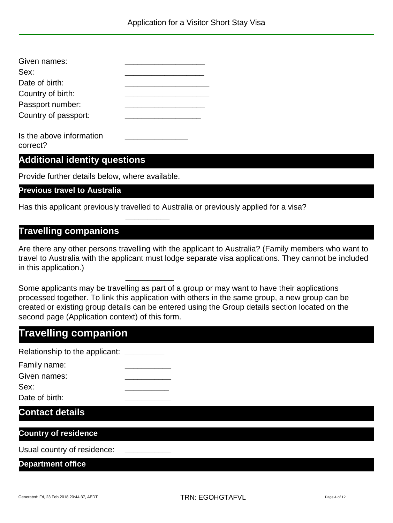| Given names:         |  |
|----------------------|--|
| Sex:                 |  |
| Date of birth:       |  |
| Country of birth:    |  |
| Passport number:     |  |
| Country of passport: |  |
|                      |  |

Is the above information **\_\_\_\_\_\_\_\_\_\_\_\_\_\_\_** correct?

## **Additional identity questions**

Provide further details below, where available.

#### **Previous travel to Australia**

Has this applicant previously travelled to Australia or previously applied for a visa?

**\_\_\_\_\_\_\_\_\_\_**

**\_\_\_\_\_\_\_\_\_\_\_**

## **Travelling companions**

Are there any other persons travelling with the applicant to Australia? (Family members who want to travel to Australia with the applicant must lodge separate visa applications. They cannot be included in this application.)

Some applicants may be travelling as part of a group or may want to have their applications processed together. To link this application with others in the same group, a new group can be created or existing group details can be entered using the Group details section located on the second page (Application context) of this form.

# **Travelling companion**

Relationship to the applicant: **\_\_\_\_\_\_\_\_\_**

| Family name:   |  |  |
|----------------|--|--|
| Given names:   |  |  |
| Sex:           |  |  |
| Date of birth: |  |  |

## **Contact details**

## **Country of residence**

Usual country of residence: **\_\_\_\_\_\_\_\_\_\_\_**

#### **Department office**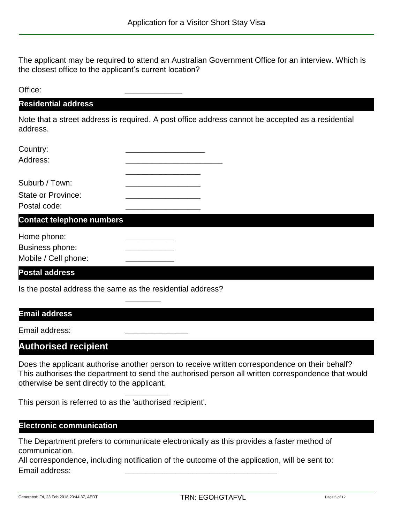The applicant may be required to attend an Australian Government Office for an interview. Which is the closest office to the applicant's current location?

| Office:                                                                                |                                                                                                   |
|----------------------------------------------------------------------------------------|---------------------------------------------------------------------------------------------------|
| <b>Residential address</b>                                                             |                                                                                                   |
| address.                                                                               | Note that a street address is required. A post office address cannot be accepted as a residential |
| Country:<br>Address:                                                                   |                                                                                                   |
| Suburb / Town:<br><b>State or Province:</b><br>Postal code:                            |                                                                                                   |
| <b>Contact telephone numbers</b>                                                       |                                                                                                   |
| Home phone:<br><b>Business phone:</b><br>Mobile / Cell phone:<br><b>Postal address</b> |                                                                                                   |
|                                                                                        | Is the postal address the same as the residential address?                                        |
|                                                                                        |                                                                                                   |

#### **Email address**

Email address:

# **Authorised recipient**

Does the applicant authorise another person to receive written correspondence on their behalf? This authorises the department to send the authorised person all written correspondence that would otherwise be sent directly to the applicant.

This person is referred to as the 'authorised recipient'.

**\_\_\_\_\_\_\_\_\_\_**

## **Electronic communication**

The Department prefers to communicate electronically as this provides a faster method of communication.

All correspondence, including notification of the outcome of the application, will be sent to: Email address: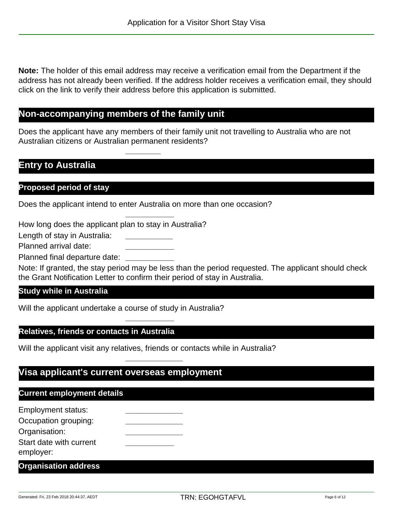**Note:** The holder of this email address may receive a verification email from the Department if the address has not already been verified. If the address holder receives a verification email, they should click on the link to verify their address before this application is submitted.

# **Non-accompanying members of the family unit**

Does the applicant have any members of their family unit not travelling to Australia who are not Australian citizens or Australian permanent residents?

## **Entry to Australia**

#### **Proposed period of stay**

Does the applicant intend to enter Australia on more than one occasion?

**\_\_\_\_\_\_\_\_\_\_\_**

**\_\_\_\_\_\_\_\_**

How long does the applicant plan to stay in Australia?

Length of stay in Australia:

Planned arrival date: **\_\_\_\_\_\_\_\_\_\_\_**

Planned final departure date: **\_\_\_\_\_\_\_\_\_\_\_**

Note: If granted, the stay period may be less than the period requested. The applicant should check the Grant Notification Letter to confirm their period of stay in Australia.

#### **Study while in Australia**

Will the applicant undertake a course of study in Australia?

#### **Relatives, friends or contacts in Australia**

Will the applicant visit any relatives, friends or contacts while in Australia?

**\_\_\_\_\_\_\_\_\_\_\_\_\_**

**\_\_\_\_\_\_\_\_\_\_\_**

## **Visa applicant's current overseas employment**

## **Current employment details**

| <b>Employment status:</b> |  |
|---------------------------|--|
| Occupation grouping:      |  |
| Organisation:             |  |
| Start date with current   |  |
| employer:                 |  |
|                           |  |

**Organisation address**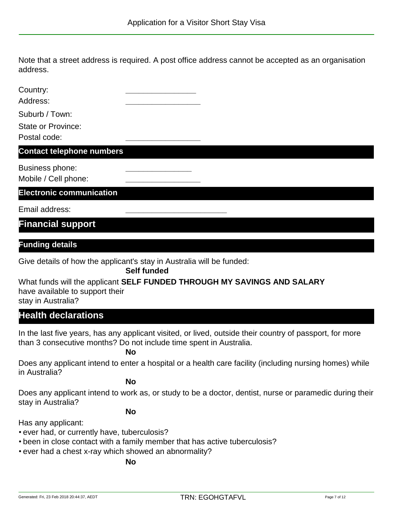Note that a street address is required. A post office address cannot be accepted as an organisation address.

| Country:<br>Address:                    |  |
|-----------------------------------------|--|
| Suburb / Town:                          |  |
| State or Province:                      |  |
| Postal code:                            |  |
| <b>Contact telephone numbers</b>        |  |
| Business phone:<br>Mobile / Cell phone: |  |

**Electronic communication**

Email address: **\_\_\_\_\_\_\_\_\_\_\_\_\_\_\_\_\_\_\_\_\_\_\_**

**Financial support**

#### **Funding details**

Give details of how the applicant's stay in Australia will be funded:

**Self funded**

What funds will the applicant **SELF FUNDED THROUGH MY SAVINGS AND SALARY** have available to support their

stay in Australia?

# **Health declarations**

In the last five years, has any applicant visited, or lived, outside their country of passport, for more than 3 consecutive months? Do not include time spent in Australia.

**No**

Does any applicant intend to enter a hospital or a health care facility (including nursing homes) while in Australia?

**No**

Does any applicant intend to work as, or study to be a doctor, dentist, nurse or paramedic during their stay in Australia?

**No**

Has any applicant:

- ever had, or currently have, tuberculosis?
- been in close contact with a family member that has active tuberculosis?
- ever had a chest x-ray which showed an abnormality?

**No**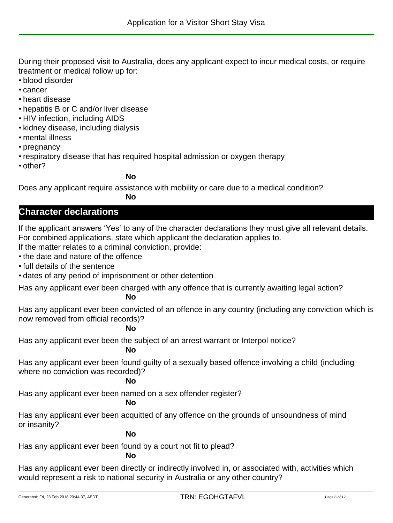During their proposed visit to Australia, does any applicant expect to incur medical costs, or require treatment or medical follow up for:

- blood disorder
- cancer
- heart disease
- hepatitis B or C and/or liver disease
- HIV infection, including AIDS
- kidney disease, including dialysis
- mental illness
- pregnancy
- respiratory disease that has required hospital admission or oxygen therapy
- other?

#### **No**

Does any applicant require assistance with mobility or care due to a medical condition?

#### **No**

## **Character declarations**

If the applicant answers 'Yes' to any of the character declarations they must give all relevant details. For combined applications, state which applicant the declaration applies to.

If the matter relates to a criminal conviction, provide:

- the date and nature of the offence
- full details of the sentence
- dates of any period of imprisonment or other detention

Has any applicant ever been charged with any offence that is currently awaiting legal action?

### **No**

Has any applicant ever been convicted of an offence in any country (including any conviction which is now removed from official records)?

### **No**

Has any applicant ever been the subject of an arrest warrant or Interpol notice?

### **No**

Has any applicant ever been found guilty of a sexually based offence involving a child (including where no conviction was recorded)?

### **No**

Has any applicant ever been named on a sex offender register?

## **No**

Has any applicant ever been acquitted of any offence on the grounds of unsoundness of mind or insanity?

### **No**

Has any applicant ever been found by a court not fit to plead?

#### **No**

Has any applicant ever been directly or indirectly involved in, or associated with, activities which would represent a risk to national security in Australia or any other country?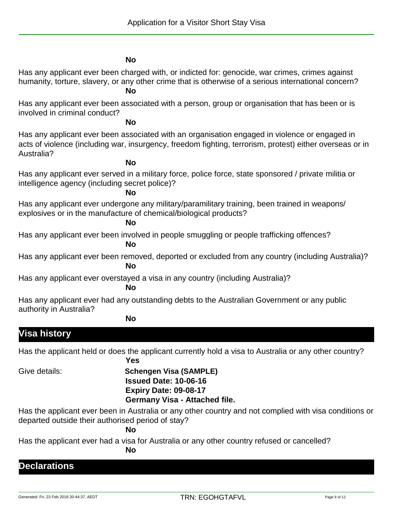#### **No**

Has any applicant ever been charged with, or indicted for: genocide, war crimes, crimes against humanity, torture, slavery, or any other crime that is otherwise of a serious international concern?

## **No**

Has any applicant ever been associated with a person, group or organisation that has been or is involved in criminal conduct?

#### **No**

Has any applicant ever been associated with an organisation engaged in violence or engaged in acts of violence (including war, insurgency, freedom fighting, terrorism, protest) either overseas or in Australia?

#### **No**

Has any applicant ever served in a military force, police force, state sponsored / private militia or intelligence agency (including secret police)?

#### **No**

Has any applicant ever undergone any military/paramilitary training, been trained in weapons/ explosives or in the manufacture of chemical/biological products?

#### **No**

Has any applicant ever been involved in people smuggling or people trafficking offences?

#### **No**

Has any applicant ever been removed, deported or excluded from any country (including Australia)? **No**

Has any applicant ever overstayed a visa in any country (including Australia)?

#### **No**

Has any applicant ever had any outstanding debts to the Australian Government or any public authority in Australia?

#### **No**

# **Visa history**

Has the applicant held or does the applicant currently hold a visa to Australia or any other country? **Yes**

## Give details: **Schengen Visa (SAMPLE) Issued Date: 10-06-16 Expiry Date: 09-08-17 Germany Visa - Attached file.**

Has the applicant ever been in Australia or any other country and not complied with visa conditions or departed outside their authorised period of stay?

### **No**

Has the applicant ever had a visa for Australia or any other country refused or cancelled?

**No**

## **Declarations**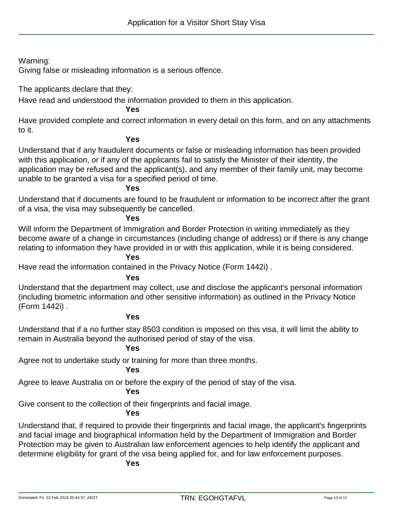Warning:

Giving false or misleading information is a serious offence.

The applicants declare that they:

Have read and understood the information provided to them in this application.

### **Yes**

Have provided complete and correct information in every detail on this form, and on any attachments to it.

### **Yes**

Understand that if any fraudulent documents or false or misleading information has been provided with this application, or if any of the applicants fail to satisfy the Minister of their identity, the application may be refused and the applicant(s), and any member of their family unit, may become unable to be granted a visa for a specified period of time.

#### **Yes**

Understand that if documents are found to be fraudulent or information to be incorrect after the grant of a visa, the visa may subsequently be cancelled.

#### **Yes**

Will inform the Department of Immigration and Border Protection in writing immediately as they become aware of a change in circumstances (including change of address) or if there is any change relating to information they have provided in or with this application, while it is being considered.

#### **Yes**

Have read the information contained in the Privacy Notice (Form 1442i) .

### **Yes**

Understand that the department may collect, use and disclose the applicant's personal information (including biometric information and other sensitive information) as outlined in the Privacy Notice (Form 1442i) .

#### **Yes**

Understand that if a no further stay 8503 condition is imposed on this visa, it will limit the ability to remain in Australia beyond the authorised period of stay of the visa.

### **Yes**

Agree not to undertake study or training for more than three months.

### **Yes**

Agree to leave Australia on or before the expiry of the period of stay of the visa.

### **Yes**

Give consent to the collection of their fingerprints and facial image.

## **Yes**

Understand that, if required to provide their fingerprints and facial image, the applicant's fingerprints and facial image and biographical information held by the Department of Immigration and Border Protection may be given to Australian law enforcement agencies to help identify the applicant and determine eligibility for grant of the visa being applied for, and for law enforcement purposes.

#### **Yes**

Generated: Fri, 23 Feb 2018 20:44:37, AEDT TRN: EGOHGTAFVL Page 10 of 12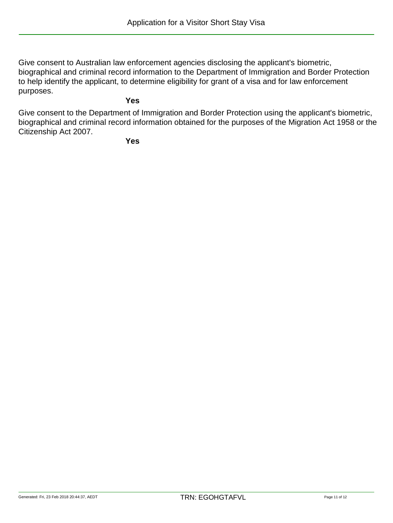Give consent to Australian law enforcement agencies disclosing the applicant's biometric, biographical and criminal record information to the Department of Immigration and Border Protection to help identify the applicant, to determine eligibility for grant of a visa and for law enforcement purposes.

## **Yes**

Give consent to the Department of Immigration and Border Protection using the applicant's biometric, biographical and criminal record information obtained for the purposes of the Migration Act 1958 or the Citizenship Act 2007.

**Yes**